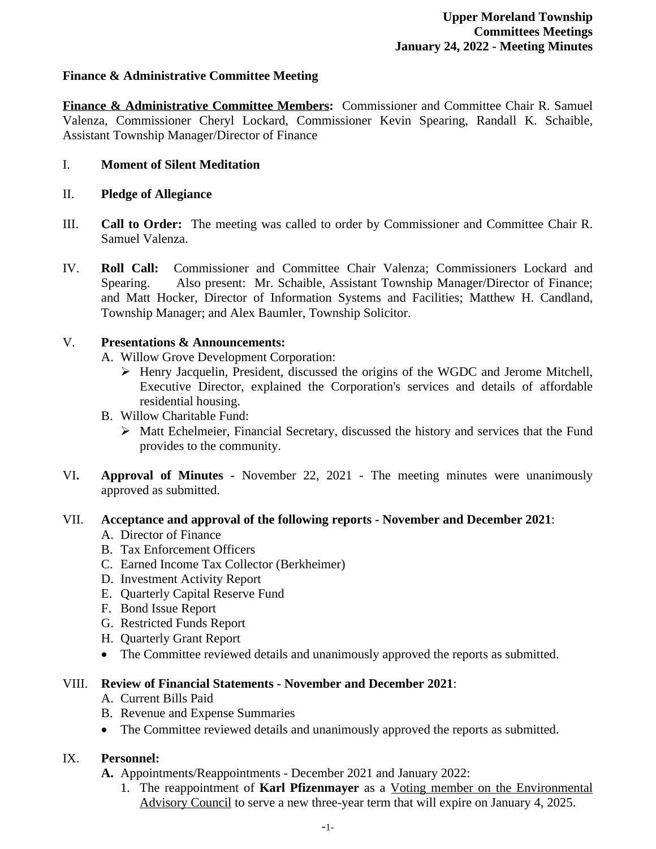#### **Finance & Administrative Committee Meeting**

**Finance & Administrative Committee Members:** Commissioner and Committee Chair R. Samuel Valenza, Commissioner Cheryl Lockard, Commissioner Kevin Spearing, Randall K. Schaible, Assistant Township Manager/Director of Finance

### I. **Moment of Silent Meditation**

#### II. **Pledge of Allegiance**

- III. **Call to Order:** The meeting was called to order by Commissioner and Committee Chair R. Samuel Valenza.
- IV. **Roll Call:** Commissioner and Committee Chair Valenza; Commissioners Lockard and Spearing. Also present: Mr. Schaible, Assistant Township Manager/Director of Finance; and Matt Hocker, Director of Information Systems and Facilities; Matthew H. Candland, Township Manager; and Alex Baumler, Township Solicitor.

#### V. **Presentations & Announcements:**

- A. Willow Grove Development Corporation:
	- Henry Jacquelin, President, discussed the origins of the WGDC and Jerome Mitchell, Executive Director, explained the Corporation's services and details of affordable residential housing.
- B. Willow Charitable Fund:
	- $\triangleright$  Matt Echelmeier, Financial Secretary, discussed the history and services that the Fund provides to the community.
- VI**. Approval of Minutes -** November 22, 2021 The meeting minutes were unanimously approved as submitted.

#### VII. **Acceptance and approval of the following reports - November and December 2021**:

- A. Director of Finance
- B. Tax Enforcement Officers
- C. Earned Income Tax Collector (Berkheimer)
- D. Investment Activity Report
- E. Quarterly Capital Reserve Fund
- F. Bond Issue Report
- G. Restricted Funds Report
- H. Quarterly Grant Report
- The Committee reviewed details and unanimously approved the reports as submitted.

#### VIII. **Review of Financial Statements - November and December 2021**:

- A. Current Bills Paid
- B. Revenue and Expense Summaries
- The Committee reviewed details and unanimously approved the reports as submitted.

#### IX. **Personnel:**

- **A.** Appointments/Reappointments December 2021 and January 2022:
	- 1. The reappointment of **Karl Pfizenmayer** as a Voting member on the Environmental Advisory Council to serve a new three-year term that will expire on January 4, 2025.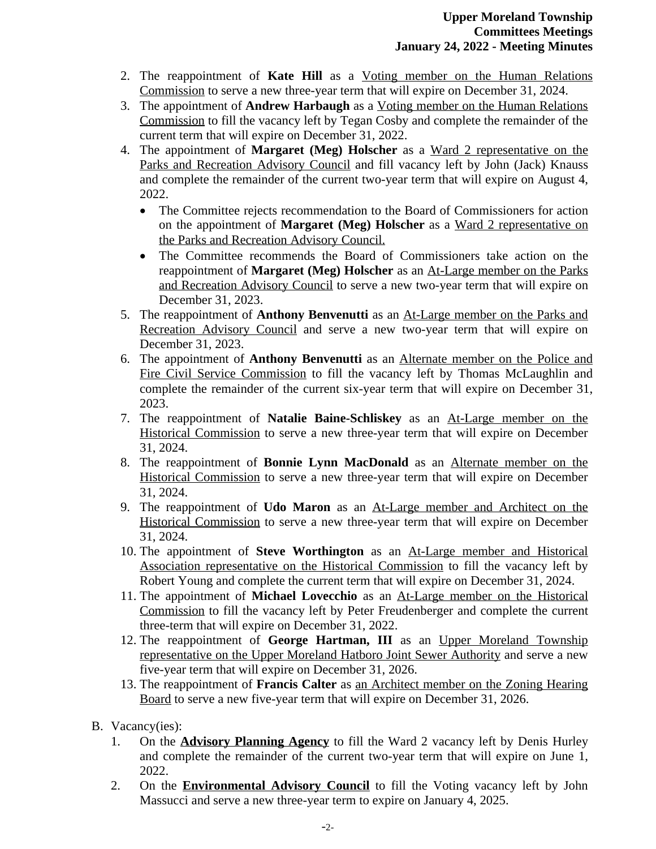- 2. The reappointment of **Kate Hill** as a Voting member on the Human Relations Commission to serve a new three-year term that will expire on December 31, 2024.
- 3. The appointment of **Andrew Harbaugh** as a Voting member on the Human Relations Commission to fill the vacancy left by Tegan Cosby and complete the remainder of the current term that will expire on December 31, 2022.
- 4. The appointment of **Margaret (Meg) Holscher** as a Ward 2 representative on the Parks and Recreation Advisory Council and fill vacancy left by John (Jack) Knauss and complete the remainder of the current two-year term that will expire on August 4, 2022.
	- The Committee rejects recommendation to the Board of Commissioners for action on the appointment of **Margaret (Meg) Holscher** as a Ward 2 representative on the Parks and Recreation Advisory Council.
	- The Committee recommends the Board of Commissioners take action on the reappointment of **Margaret (Meg) Holscher** as an At-Large member on the Parks and Recreation Advisory Council to serve a new two-year term that will expire on December 31, 2023.
- 5. The reappointment of **Anthony Benvenutti** as an At-Large member on the Parks and Recreation Advisory Council and serve a new two-year term that will expire on December 31, 2023.
- 6. The appointment of **Anthony Benvenutti** as an Alternate member on the Police and Fire Civil Service Commission to fill the vacancy left by Thomas McLaughlin and complete the remainder of the current six-year term that will expire on December 31, 2023.
- 7. The reappointment of **Natalie Baine-Schliskey** as an At-Large member on the Historical Commission to serve a new three-year term that will expire on December 31, 2024.
- 8. The reappointment of **Bonnie Lynn MacDonald** as an Alternate member on the Historical Commission to serve a new three-year term that will expire on December 31, 2024.
- 9. The reappointment of **Udo Maron** as an At-Large member and Architect on the Historical Commission to serve a new three-year term that will expire on December 31, 2024.
- 10. The appointment of **Steve Worthington** as an At-Large member and Historical Association representative on the Historical Commission to fill the vacancy left by Robert Young and complete the current term that will expire on December 31, 2024.
- 11. The appointment of **Michael Lovecchio** as an At-Large member on the Historical Commission to fill the vacancy left by Peter Freudenberger and complete the current three-term that will expire on December 31, 2022.
- 12. The reappointment of **George Hartman, III** as an Upper Moreland Township representative on the Upper Moreland Hatboro Joint Sewer Authority and serve a new five-year term that will expire on December 31, 2026.
- 13. The reappointment of **Francis Calter** as an Architect member on the Zoning Hearing Board to serve a new five-year term that will expire on December 31, 2026.
- B. Vacancy(ies):
	- 1. On the **Advisory Planning Agency** to fill the Ward 2 vacancy left by Denis Hurley and complete the remainder of the current two-year term that will expire on June 1, 2022.
	- 2. On the **Environmental Advisory Council** to fill the Voting vacancy left by John Massucci and serve a new three-year term to expire on January 4, 2025.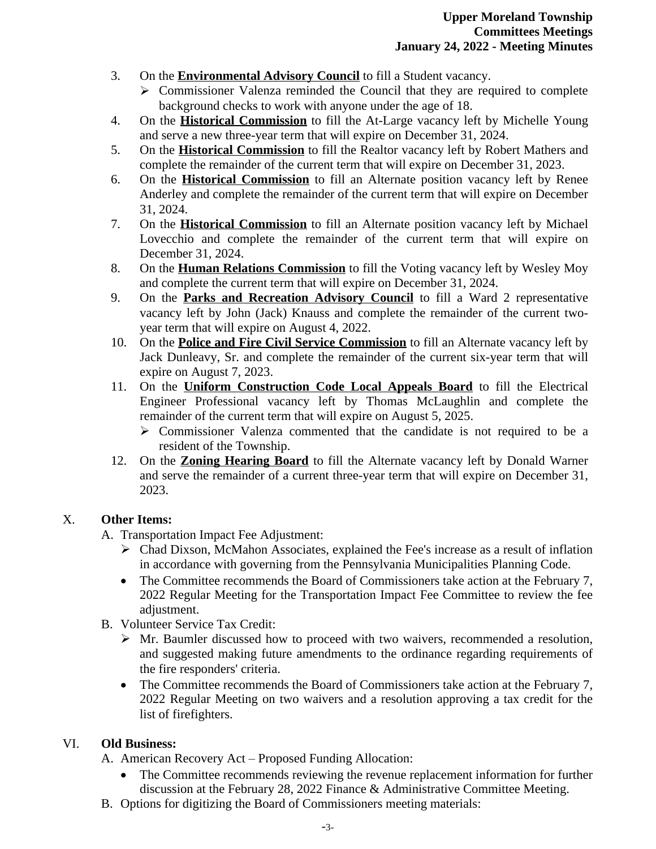- 3. On the **Environmental Advisory Council** to fill a Student vacancy.
	- $\triangleright$  Commissioner Valenza reminded the Council that they are required to complete background checks to work with anyone under the age of 18.
- 4. On the **Historical Commission** to fill the At-Large vacancy left by Michelle Young and serve a new three-year term that will expire on December 31, 2024.
- 5. On the **Historical Commission** to fill the Realtor vacancy left by Robert Mathers and complete the remainder of the current term that will expire on December 31, 2023.
- 6. On the **Historical Commission** to fill an Alternate position vacancy left by Renee Anderley and complete the remainder of the current term that will expire on December 31, 2024.
- 7. On the **Historical Commission** to fill an Alternate position vacancy left by Michael Lovecchio and complete the remainder of the current term that will expire on December 31, 2024.
- 8. On the **Human Relations Commission** to fill the Voting vacancy left by Wesley Moy and complete the current term that will expire on December 31, 2024.
- 9. On the **Parks and Recreation Advisory Council** to fill a Ward 2 representative vacancy left by John (Jack) Knauss and complete the remainder of the current twoyear term that will expire on August 4, 2022.
- 10. On the **Police and Fire Civil Service Commission** to fill an Alternate vacancy left by Jack Dunleavy, Sr. and complete the remainder of the current six-year term that will expire on August 7, 2023.
- 11. On the **Uniform Construction Code Local Appeals Board** to fill the Electrical Engineer Professional vacancy left by Thomas McLaughlin and complete the remainder of the current term that will expire on August 5, 2025.
	- $\triangleright$  Commissioner Valenza commented that the candidate is not required to be a resident of the Township.
- 12. On the **Zoning Hearing Board** to fill the Alternate vacancy left by Donald Warner and serve the remainder of a current three-year term that will expire on December 31, 2023.

# X. **Other Items:**

- A. Transportation Impact Fee Adjustment:
	- Chad Dixson, McMahon Associates, explained the Fee's increase as a result of inflation in accordance with governing from the Pennsylvania Municipalities Planning Code.
	- The Committee recommends the Board of Commissioners take action at the February 7, 2022 Regular Meeting for the Transportation Impact Fee Committee to review the fee adjustment.
- B. Volunteer Service Tax Credit:
	- $\triangleright$  Mr. Baumler discussed how to proceed with two waivers, recommended a resolution, and suggested making future amendments to the ordinance regarding requirements of the fire responders' criteria.
	- The Committee recommends the Board of Commissioners take action at the February 7, 2022 Regular Meeting on two waivers and a resolution approving a tax credit for the list of firefighters.

# VI. **Old Business:**

A. American Recovery Act – Proposed Funding Allocation:

- The Committee recommends reviewing the revenue replacement information for further discussion at the February 28, 2022 Finance & Administrative Committee Meeting.
- B. Options for digitizing the Board of Commissioners meeting materials: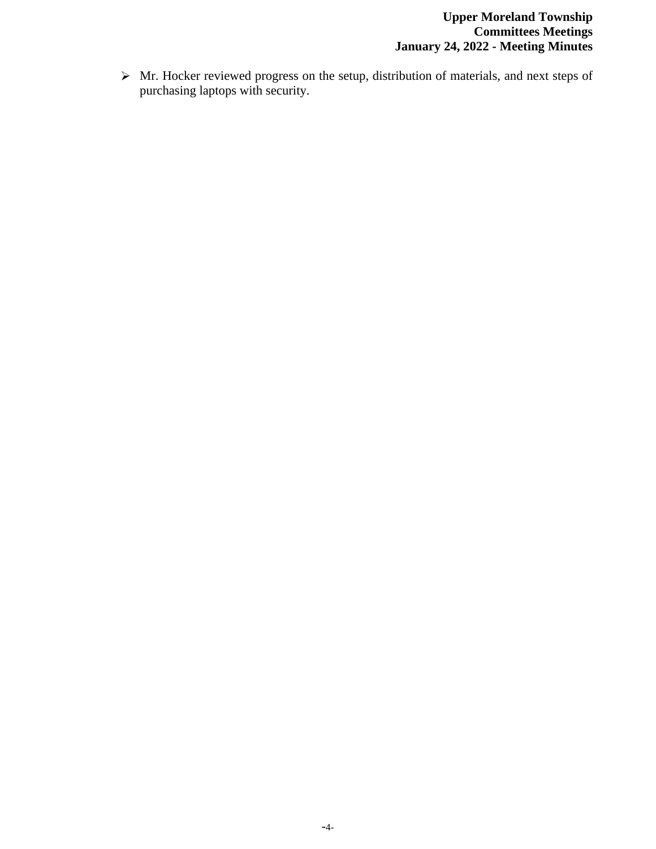$\triangleright$  Mr. Hocker reviewed progress on the setup, distribution of materials, and next steps of purchasing laptops with security.